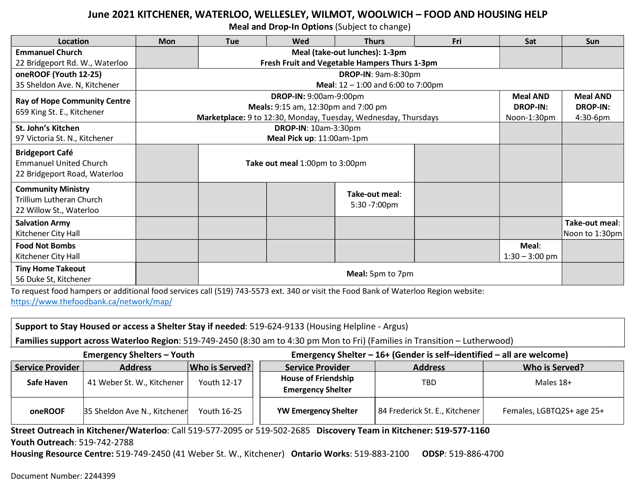## June 2021 KITCHENER, WATERLOO, WELLESLEY, WILMOT, WOOLWICH – FOOD AND HOUSING HELP

Meal and Drop-In Options (Subject to change)

| Location                                                                                | <b>Mon</b>       | <b>Tue</b>                                                                                                                         | Wed                                                                           | <b>Thurs</b>                   | Fri | Sat              | <b>Sun</b>                       |
|-----------------------------------------------------------------------------------------|------------------|------------------------------------------------------------------------------------------------------------------------------------|-------------------------------------------------------------------------------|--------------------------------|-----|------------------|----------------------------------|
| <b>Emmanuel Church</b>                                                                  |                  |                                                                                                                                    |                                                                               | Meal (take-out lunches): 1-3pm |     |                  |                                  |
| 22 Bridgeport Rd. W., Waterloo                                                          |                  |                                                                                                                                    | Fresh Fruit and Vegetable Hampers Thurs 1-3pm                                 |                                |     |                  |                                  |
| oneROOF (Youth 12-25)                                                                   |                  | <b>DROP-IN: 9am-8:30pm</b>                                                                                                         |                                                                               |                                |     |                  |                                  |
| 35 Sheldon Ave. N, Kitchener                                                            |                  | Meal: $12 - 1:00$ and 6:00 to 7:00pm                                                                                               |                                                                               |                                |     |                  |                                  |
| <b>Ray of Hope Community Centre</b>                                                     |                  | DROP-IN: 9:00am-9:00pm                                                                                                             |                                                                               |                                |     | <b>Meal AND</b>  | <b>Meal AND</b>                  |
| 659 King St. E., Kitchener                                                              |                  |                                                                                                                                    | Meals: 9:15 am, 12:30pm and 7:00 pm<br><b>DROP-IN:</b>                        |                                |     |                  | <b>DROP-IN:</b>                  |
|                                                                                         |                  |                                                                                                                                    | Marketplace: 9 to 12:30, Monday, Tuesday, Wednesday, Thursdays<br>Noon-1:30pm |                                |     |                  | 4:30-6pm                         |
| St. John's Kitchen                                                                      |                  |                                                                                                                                    | DROP-IN: 10am-3:30pm                                                          |                                |     |                  |                                  |
| 97 Victoria St. N., Kitchener                                                           |                  |                                                                                                                                    | Meal Pick up: 11:00am-1pm                                                     |                                |     |                  |                                  |
| <b>Bridgeport Café</b><br><b>Emmanuel United Church</b><br>22 Bridgeport Road, Waterloo |                  | Take out meal 1:00pm to 3:00pm                                                                                                     |                                                                               |                                |     |                  |                                  |
| <b>Community Ministry</b><br>Trillium Lutheran Church<br>22 Willow St., Waterloo        |                  |                                                                                                                                    |                                                                               | Take-out meal:<br>5:30 -7:00pm |     |                  |                                  |
| <b>Salvation Army</b><br>Kitchener City Hall                                            |                  |                                                                                                                                    |                                                                               |                                |     |                  | Take-out meal:<br>Noon to 1:30pm |
| <b>Food Not Bombs</b>                                                                   |                  |                                                                                                                                    |                                                                               |                                |     | Meal:            |                                  |
| Kitchener City Hall                                                                     |                  |                                                                                                                                    |                                                                               |                                |     | $1:30 - 3:00$ pm |                                  |
| <b>Tiny Home Takeout</b>                                                                | Meal: 5pm to 7pm |                                                                                                                                    |                                                                               |                                |     |                  |                                  |
| 56 Duke St, Kitchener                                                                   |                  | To request food homeors or additional food sequices call (510) 742 EE72 out 240 or visit the Food Bank of Waterlan Beginn website: |                                                                               |                                |     |                  |                                  |

To request food hampers or additional food services call (519) 743-5573 ext. 340 or visit the Food Bank of Waterloo Region website: https://www.thefoodbank.ca/network/map/

Support to Stay Housed or access a Shelter Stay if needed: 519-624-9133 (Housing Helpline - Argus)

Families support across Waterloo Region: 519-749-2450 (8:30 am to 4:30 pm Mon to Fri) (Families in Transition – Lutherwood)

| EIIIEIEIICV JIEIIEIS TUUUI |                              |                |                                                        |                                |                           |  |
|----------------------------|------------------------------|----------------|--------------------------------------------------------|--------------------------------|---------------------------|--|
| Service Provider           | <b>Address</b>               | Who is Served? | Service Provider                                       | <b>Address</b>                 | Who is Served?            |  |
| Safe Haven                 | 41 Weber St. W., Kitchener   | Youth 12-17    | <b>House of Friendship</b><br><b>Emergency Shelter</b> | <b>TBD</b>                     | Males 18+                 |  |
| oneROOF                    | 35 Sheldon Ave N., Kitchener | Youth 16-25    | <b>YW Emergency Shelter</b>                            | 84 Frederick St. E., Kitchener | Females, LGBTQ2S+ age 25+ |  |

Emergency Shelters – Youth Emergency Shelter – 16+ (Gender is self–identified – all are welcome)

Street Outreach in Kitchener/Waterloo: Call 519-577-2095 or 519-502-2685 Discovery Team in Kitchener: 519-577-1160 Youth Outreach: 519-742-2788

Housing Resource Centre: 519-749-2450 (41 Weber St. W., Kitchener) Ontario Works: 519-883-2100 ODSP: 519-886-4700